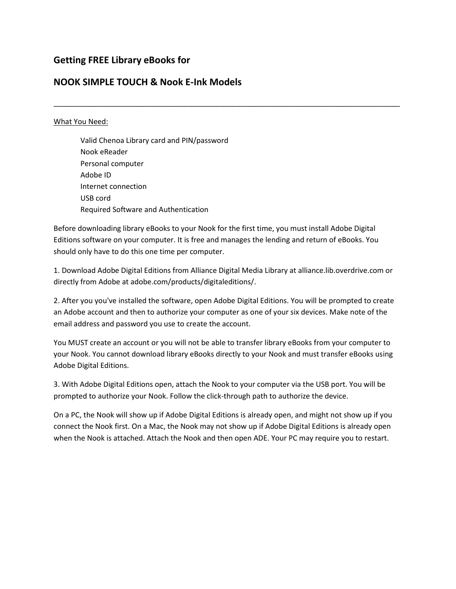# **Getting FREE Library eBooks for**

## **NOOK SIMPLE TOUCH & Nook E-Ink Models**

#### What You Need:

Valid Chenoa Library card and PIN/password Nook eReader Personal computer Adobe ID Internet connection USB cord Required Software and Authentication

Before downloading library eBooks to your Nook for the first time, you must install Adobe Digital Editions software on your computer. It is free and manages the lending and return of eBooks. You should only have to do this one time per computer.

\_\_\_\_\_\_\_\_\_\_\_\_\_\_\_\_\_\_\_\_\_\_\_\_\_\_\_\_\_\_\_\_\_\_\_\_\_\_\_\_\_\_\_\_\_\_\_\_\_\_\_\_\_\_\_\_\_\_\_\_\_\_\_\_\_\_\_\_\_\_\_\_\_\_\_\_\_\_\_\_\_\_\_\_\_

1. Download Adobe Digital Editions from Alliance Digital Media Library at alliance.lib.overdrive.com or directly from Adobe at adobe.com/products/digitaleditions/.

2. After you you've installed the software, open Adobe Digital Editions. You will be prompted to create an Adobe account and then to authorize your computer as one of your six devices. Make note of the email address and password you use to create the account.

You MUST create an account or you will not be able to transfer library eBooks from your computer to your Nook. You cannot download library eBooks directly to your Nook and must transfer eBooks using Adobe Digital Editions.

3. With Adobe Digital Editions open, attach the Nook to your computer via the USB port. You will be prompted to authorize your Nook. Follow the click-through path to authorize the device.

On a PC, the Nook will show up if Adobe Digital Editions is already open, and might not show up if you connect the Nook first. On a Mac, the Nook may not show up if Adobe Digital Editions is already open when the Nook is attached. Attach the Nook and then open ADE. Your PC may require you to restart.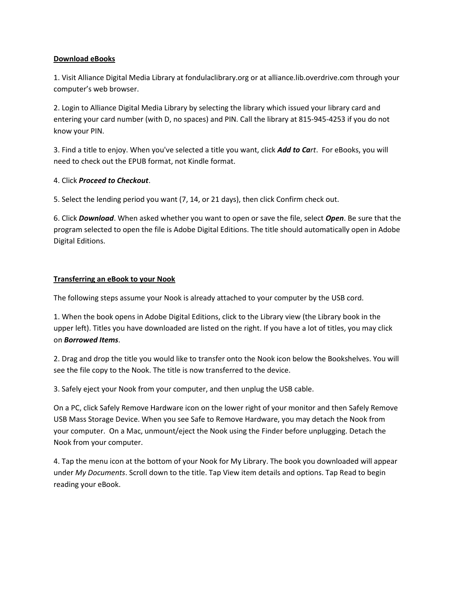## **Download eBooks**

1. Visit Alliance Digital Media Library at fondulaclibrary.org or at alliance.lib.overdrive.com through your computer's web browser.

2. Login to Alliance Digital Media Library by selecting the library which issued your library card and entering your card number (with D, no spaces) and PIN. Call the library at 815-945-4253 if you do not know your PIN.

3. Find a title to enjoy. When you've selected a title you want, click *Add to Cart*. For eBooks, you will need to check out the EPUB format, not Kindle format.

## 4. Click *Proceed to Checkout*.

5. Select the lending period you want (7, 14, or 21 days), then click Confirm check out.

6. Click *Download*. When asked whether you want to open or save the file, select *Open*. Be sure that the program selected to open the file is Adobe Digital Editions. The title should automatically open in Adobe Digital Editions.

## **Transferring an eBook to your Nook**

The following steps assume your Nook is already attached to your computer by the USB cord.

1. When the book opens in Adobe Digital Editions, click to the Library view (the Library book in the upper left). Titles you have downloaded are listed on the right. If you have a lot of titles, you may click on *Borrowed Items*.

2. Drag and drop the title you would like to transfer onto the Nook icon below the Bookshelves. You will see the file copy to the Nook. The title is now transferred to the device.

3. Safely eject your Nook from your computer, and then unplug the USB cable.

On a PC, click Safely Remove Hardware icon on the lower right of your monitor and then Safely Remove USB Mass Storage Device. When you see Safe to Remove Hardware, you may detach the Nook from your computer. On a Mac, unmount/eject the Nook using the Finder before unplugging. Detach the Nook from your computer.

4. Tap the menu icon at the bottom of your Nook for My Library. The book you downloaded will appear under *My Documents*. Scroll down to the title. Tap View item details and options. Tap Read to begin reading your eBook.